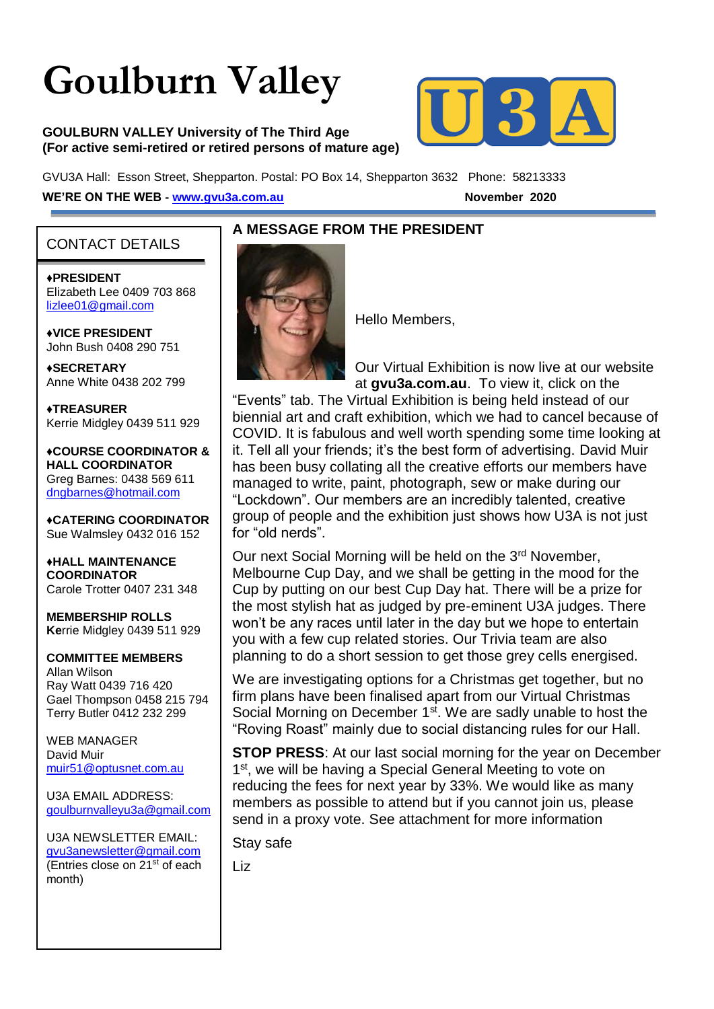# **Goulburn Valley**

#### **GOULBURN VALLEY University of The Third Age (For active semi-retired or retired persons of mature age)**



GVU3A Hall: Esson Street, Shepparton. Postal: PO Box 14, Shepparton 3632 Phone: 58213333 **WE'RE ON THE WEB - [www.gvu3a.com.au](about:blank)** November 2020

#### CONTACT DETAILS

♦**PRESIDENT** Elizabeth Lee 0409 703 868 [lizlee01@gmail.com](about:blank)

♦**VICE PRESIDENT** John Bush 0408 290 751

**♦SECRETARY** Anne White 0438 202 799

**♦TREASURER** Kerrie Midgley 0439 511 929

♦**COURSE COORDINATOR & HALL COORDINATOR** Greg Barnes: 0438 569 611 [dngbarnes@hotmail.com](about:blank)

♦**CATERING COORDINATOR** Sue Walmsley 0432 016 152

♦**HALL MAINTENANCE COORDINATOR** Carole Trotter 0407 231 348

**MEMBERSHIP ROLLS Ke**rrie Midgley 0439 511 929

#### **COMMITTEE MEMBERS**

Allan Wilson Ray Watt 0439 716 420 Gael Thompson 0458 215 794 Terry Butler 0412 232 299

WEB MANAGER David Muir [muir51@optusnet.com.au](about:blank)

U3A EMAIL ADDRESS: [goulburnvalleyu3a@gmail.com](about:blank)

U3A NEWSLETTER EMAIL: [gvu3anewsletter@gmail.com](about:blank) (Entries close on  $21^{st}$  of each month)

#### **A MESSAGE FROM THE PRESIDENT**



Hello Members,

Our Virtual Exhibition is now live at our website at **gvu3a.com.au**. To view it, click on the

"Events" tab. The Virtual Exhibition is being held instead of our biennial art and craft exhibition, which we had to cancel because of COVID. It is fabulous and well worth spending some time looking at it. Tell all your friends; it's the best form of advertising. David Muir has been busy collating all the creative efforts our members have managed to write, paint, photograph, sew or make during our "Lockdown". Our members are an incredibly talented, creative group of people and the exhibition just shows how U3A is not just for "old nerds".

Our next Social Morning will be held on the 3<sup>rd</sup> November, Melbourne Cup Day, and we shall be getting in the mood for the Cup by putting on our best Cup Day hat. There will be a prize for the most stylish hat as judged by pre-eminent U3A judges. There won't be any races until later in the day but we hope to entertain you with a few cup related stories. Our Trivia team are also planning to do a short session to get those grey cells energised.

We are investigating options for a Christmas get together, but no firm plans have been finalised apart from our Virtual Christmas Social Morning on December 1<sup>st</sup>. We are sadly unable to host the "Roving Roast" mainly due to social distancing rules for our Hall.

**STOP PRESS**: At our last social morning for the year on December 1<sup>st</sup>, we will be having a Special General Meeting to vote on reducing the fees for next year by 33%. We would like as many members as possible to attend but if you cannot join us, please send in a proxy vote. See attachment for more information

Stay safe

Liz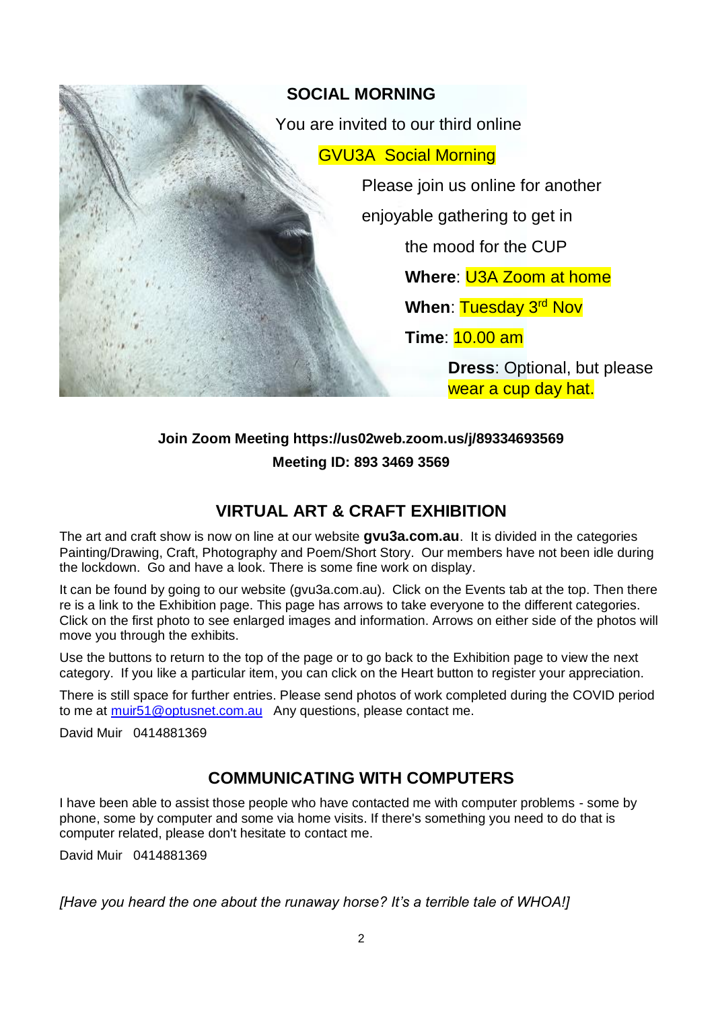

# **Join Zoom Meeting https://us02web.zoom.us/j/89334693569 Meeting ID: 893 3469 3569**

# **VIRTUAL ART & CRAFT EXHIBITION**

The art and craft show is now on line at our website **gvu3a.com.au**. It is divided in the categories Painting/Drawing, Craft, Photography and Poem/Short Story. Our members have not been idle during the lockdown. Go and have a look. There is some fine work on display.

It can be found by going to our website (gvu3a.com.au). Click on the Events tab at the top. Then there re is a link to the Exhibition page. This page has arrows to take everyone to the different categories. Click on the first photo to see enlarged images and information. Arrows on either side of the photos will move you through the exhibits.

Use the buttons to return to the top of the page or to go back to the Exhibition page to view the next category. If you like a particular item, you can click on the Heart button to register your appreciation.

There is still space for further entries. Please send photos of work completed during the COVID period to me at [muir51@optusnet.com.au](mailto:muir51@optusnet.com.au) Any questions, please contact me.

David Muir 0414881369

## **COMMUNICATING WITH COMPUTERS**

I have been able to assist those people who have contacted me with computer problems - some by phone, some by computer and some via home visits. If there's something you need to do that is computer related, please don't hesitate to contact me.

David Muir 0414881369

*[Have you heard the one about the runaway horse? It's a terrible tale of WHOA!]*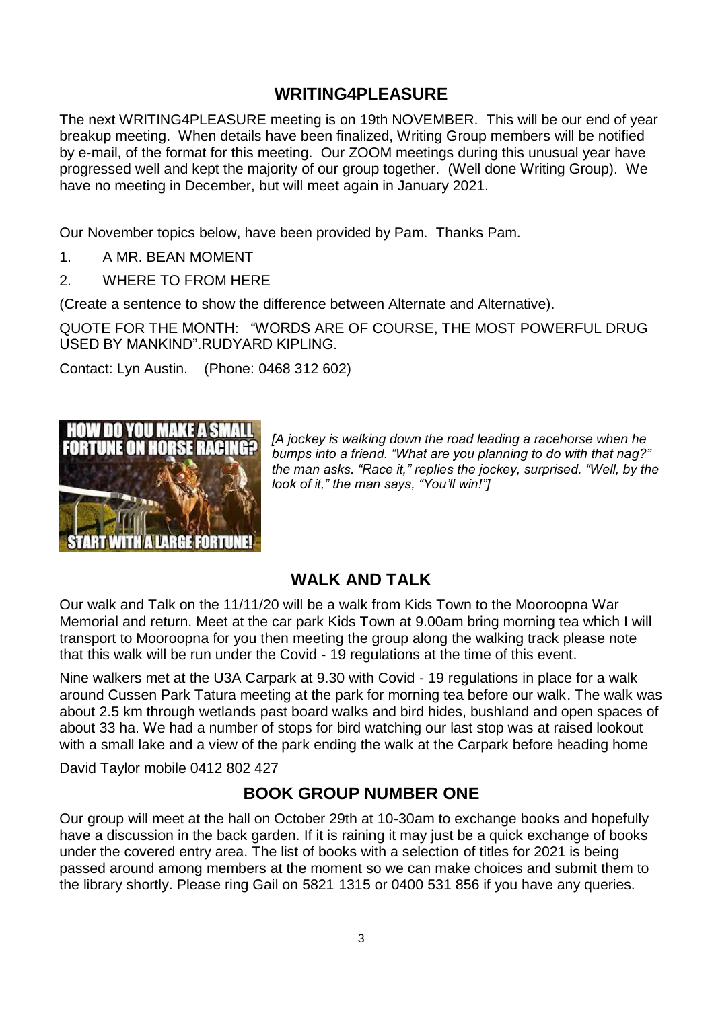#### **WRITING4PLEASURE**

The next WRITING4PLEASURE meeting is on 19th NOVEMBER. This will be our end of year breakup meeting. When details have been finalized, Writing Group members will be notified by e-mail, of the format for this meeting. Our ZOOM meetings during this unusual year have progressed well and kept the majority of our group together. (Well done Writing Group). We have no meeting in December, but will meet again in January 2021.

Our November topics below, have been provided by Pam. Thanks Pam.

- 1. A MR. BEAN MOMENT
- 2. WHERE TO FROM HERE

(Create a sentence to show the difference between Alternate and Alternative).

QUOTE FOR THE MONTH: "WORDS ARE OF COURSE, THE MOST POWERFUL DRUG USED BY MANKIND".RUDYARD KIPLING.

Contact: Lyn Austin. (Phone: 0468 312 602)



*[A jockey is walking down the road leading a racehorse when he bumps into a friend. "What are you planning to do with that nag?" the man asks. "Race it," replies the jockey, surprised. "Well, by the look of it," the man says, "You'll win!"]*

## **WALK AND TALK**

Our walk and Talk on the 11/11/20 will be a walk from Kids Town to the Mooroopna War Memorial and return. Meet at the car park Kids Town at 9.00am bring morning tea which I will transport to Mooroopna for you then meeting the group along the walking track please note that this walk will be run under the Covid - 19 regulations at the time of this event.

Nine walkers met at the U3A Carpark at 9.30 with Covid - 19 regulations in place for a walk around Cussen Park Tatura meeting at the park for morning tea before our walk. The walk was about 2.5 km through wetlands past board walks and bird hides, bushland and open spaces of about 33 ha. We had a number of stops for bird watching our last stop was at raised lookout with a small lake and a view of the park ending the walk at the Carpark before heading home

David Taylor mobile 0412 802 427

## **BOOK GROUP NUMBER ONE**

Our group will meet at the hall on October 29th at 10-30am to exchange books and hopefully have a discussion in the back garden. If it is raining it may just be a quick exchange of books under the covered entry area. The list of books with a selection of titles for 2021 is being passed around among members at the moment so we can make choices and submit them to the library shortly. Please ring Gail on 5821 1315 or 0400 531 856 if you have any queries.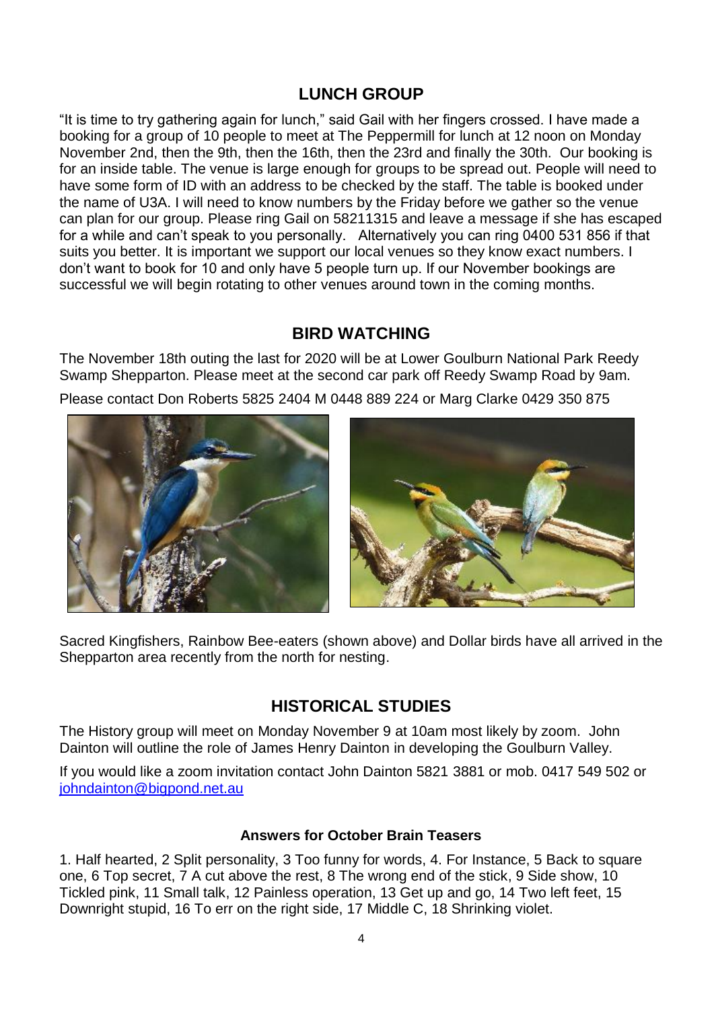## **LUNCH GROUP**

"It is time to try gathering again for lunch," said Gail with her fingers crossed. I have made a booking for a group of 10 people to meet at The Peppermill for lunch at 12 noon on Monday November 2nd, then the 9th, then the 16th, then the 23rd and finally the 30th. Our booking is for an inside table. The venue is large enough for groups to be spread out. People will need to have some form of ID with an address to be checked by the staff. The table is booked under the name of U3A. I will need to know numbers by the Friday before we gather so the venue can plan for our group. Please ring Gail on 58211315 and leave a message if she has escaped for a while and can't speak to you personally. Alternatively you can ring 0400 531 856 if that suits you better. It is important we support our local venues so they know exact numbers. I don't want to book for 10 and only have 5 people turn up. If our November bookings are successful we will begin rotating to other venues around town in the coming months.

## **BIRD WATCHING**

The November 18th outing the last for 2020 will be at Lower Goulburn National Park Reedy Swamp Shepparton. Please meet at the second car park off Reedy Swamp Road by 9am.

Please contact Don Roberts 5825 2404 M 0448 889 224 or Marg Clarke 0429 350 875





Sacred Kingfishers, Rainbow Bee-eaters (shown above) and Dollar birds have all arrived in the Shepparton area recently from the north for nesting.

## **HISTORICAL STUDIES**

The History group will meet on Monday November 9 at 10am most likely by zoom. John Dainton will outline the role of James Henry Dainton in developing the Goulburn Valley.

If you would like a zoom invitation contact John Dainton 5821 3881 or mob. 0417 549 502 or [johndainton@bigpond.net.au](mailto:johndainton@bigpond.net.au)

#### **Answers for October Brain Teasers**

1. Half hearted, 2 Split personality, 3 Too funny for words, 4. For Instance, 5 Back to square one, 6 Top secret, 7 A cut above the rest, 8 The wrong end of the stick, 9 Side show, 10 Tickled pink, 11 Small talk, 12 Painless operation, 13 Get up and go, 14 Two left feet, 15 Downright stupid, 16 To err on the right side, 17 Middle C, 18 Shrinking violet.